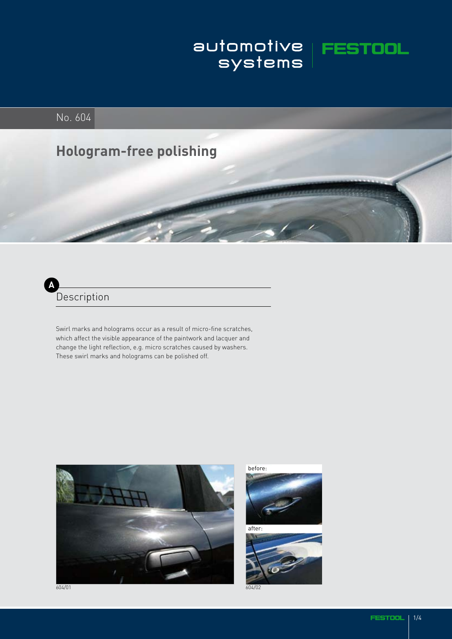

No. 604

## **Hologram-free polishing**



Swirl marks and holograms occur as a result of micro-fine scratches, which affect the visible appearance of the paintwork and lacquer and change the light reflection, e.g. micro scratches caused by washers. These swirl marks and holograms can be polished off.



before:



after:

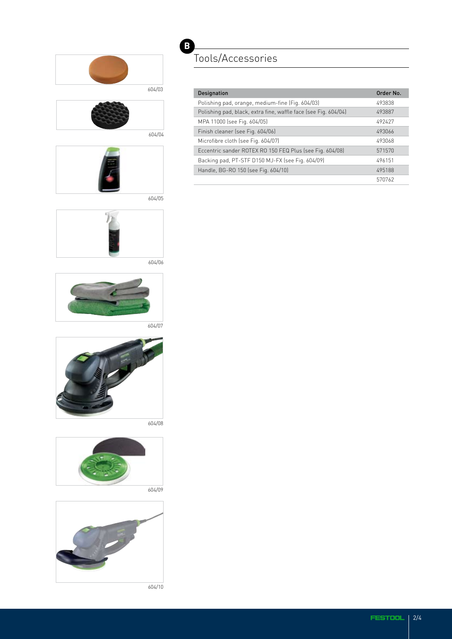





604/05



604/06



604/07



604/08





604/10

## Tools/Accessories

**B**

| <b>Designation</b>                                              | Order No. |
|-----------------------------------------------------------------|-----------|
| Polishing pad, orange, medium-fine (Fig. 604/03)                | 493838    |
| Polishing pad, black, extra fine, waffle face (see Fig. 604/04) | 493887    |
| MPA 11000 (see Fig. 604/05)                                     | 492427    |
| Finish cleaner (see Fig. 604/06)                                | 493066    |
| Microfibre cloth (see Fig. 604/07)                              | 493068    |
| Eccentric sander ROTEX RO 150 FEQ Plus (see Fig. 604/08)        | 571570    |
| Backing pad, PT-STF D150 MJ-FX (see Fig. 604/09)                | 496151    |
| Handle, BG-RO 150 (see Fig. 604/10)                             | 495188    |
|                                                                 | 570762    |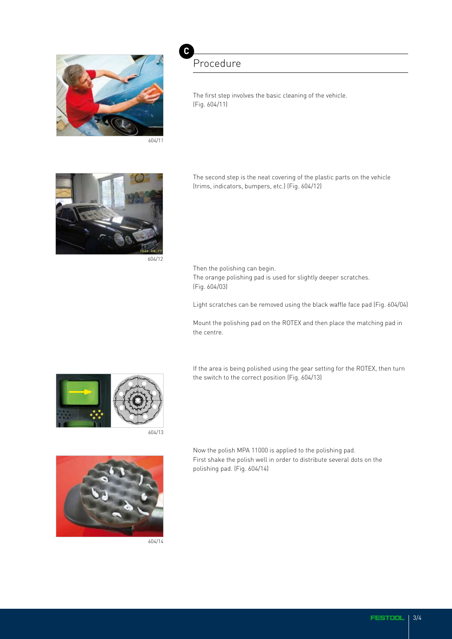

Procedure

**C**

The first step involves the basic cleaning of the vehicle. (Fig. 604/11)



604/12

The second step is the neat covering of the plastic parts on the vehicle (trims, indicators, bumpers, etc.) (Fig. 604/12)

Then the polishing can begin. The orange polishing pad is used for slightly deeper scratches. (Fig. 604/03)

Light scratches can be removed using the black waffle face pad (Fig. 604/04)

Mount the polishing pad on the ROTEX and then place the matching pad in the centre.

If the area is being polished using the gear setting for the ROTEX, then turn the switch to the correct position (Fig. 604/13)



604/13



604/14

Now the polish MPA 11000 is applied to the polishing pad. First shake the polish well in order to distribute several dots on the polishing pad. (Fig. 604/14)